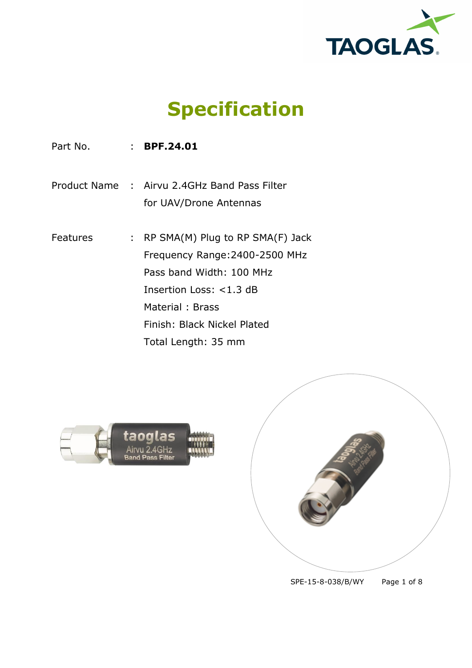

**Specification**

Part No. : **BPF.24.01** 

Product Name : Airvu 2.4GHz Band Pass Filter for UAV/Drone Antennas

Features : RP SMA(M) Plug to RP SMA(F) Jack Frequency Range:2400-2500 MHz Pass band Width: 100 MHz Insertion Loss: <1.3 dB Material : Brass Finish: Black Nickel Plated Total Length: 35 mm





SPE-15-8-038/B/WY Page 1 of 8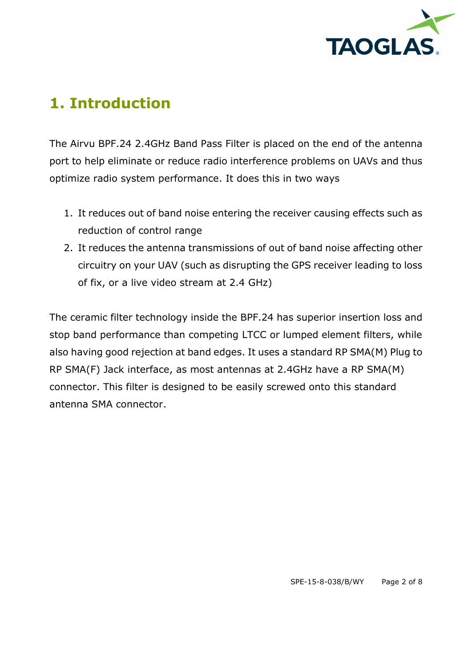

### **1. Introduction**

The Airvu BPF.24 2.4GHz Band Pass Filter is placed on the end of the antenna port to help eliminate or reduce radio interference problems on UAVs and thus optimize radio system performance. It does this in two ways

- 1. It reduces out of band noise entering the receiver causing effects such as reduction of control range
- 2. It reduces the antenna transmissions of out of band noise affecting other circuitry on your UAV (such as disrupting the GPS receiver leading to loss of fix, or a live video stream at 2.4 GHz)

The ceramic filter technology inside the BPF.24 has superior insertion loss and stop band performance than competing LTCC or lumped element filters, while also having good rejection at band edges. It uses a standard RP SMA(M) Plug to RP SMA(F) Jack interface, as most antennas at 2.4GHz have a RP SMA(M) connector. This filter is designed to be easily screwed onto this standard antenna SMA connector.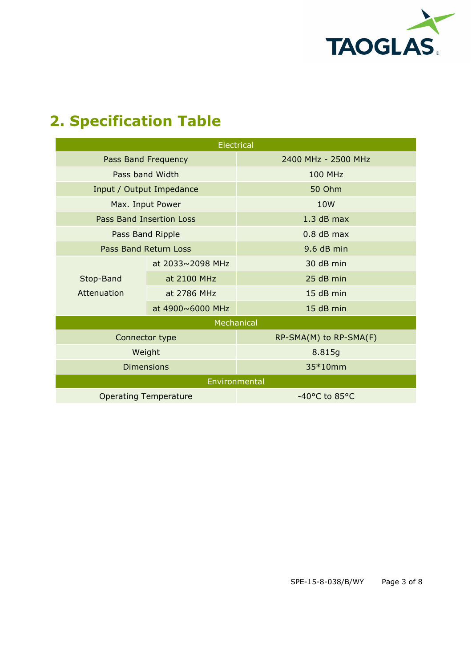

# **2. Specification Table**

| Electrical                   |                  |                        |  |  |  |  |
|------------------------------|------------------|------------------------|--|--|--|--|
| Pass Band Frequency          |                  | 2400 MHz - 2500 MHz    |  |  |  |  |
| Pass band Width              |                  | <b>100 MHz</b>         |  |  |  |  |
| Input / Output Impedance     |                  | 50 Ohm                 |  |  |  |  |
| Max. Input Power             |                  | 10 <sub>W</sub>        |  |  |  |  |
| Pass Band Insertion Loss     |                  | $1.3$ dB max           |  |  |  |  |
| Pass Band Ripple             |                  | $0.8$ dB max           |  |  |  |  |
| Pass Band Return Loss        |                  | 9.6 dB min             |  |  |  |  |
| Stop-Band<br>Attenuation     | at 2033~2098 MHz | 30 dB min              |  |  |  |  |
|                              | at 2100 MHz      | 25 dB min              |  |  |  |  |
|                              | at 2786 MHz      | 15 dB min              |  |  |  |  |
|                              | at 4900~6000 MHz | 15 dB min              |  |  |  |  |
| Mechanical                   |                  |                        |  |  |  |  |
| Connector type               |                  | RP-SMA(M) to RP-SMA(F) |  |  |  |  |
| Weight                       |                  | 8.815g                 |  |  |  |  |
| <b>Dimensions</b>            |                  | 35*10mm                |  |  |  |  |
| Environmental                |                  |                        |  |  |  |  |
| <b>Operating Temperature</b> |                  | -40°C to 85°C          |  |  |  |  |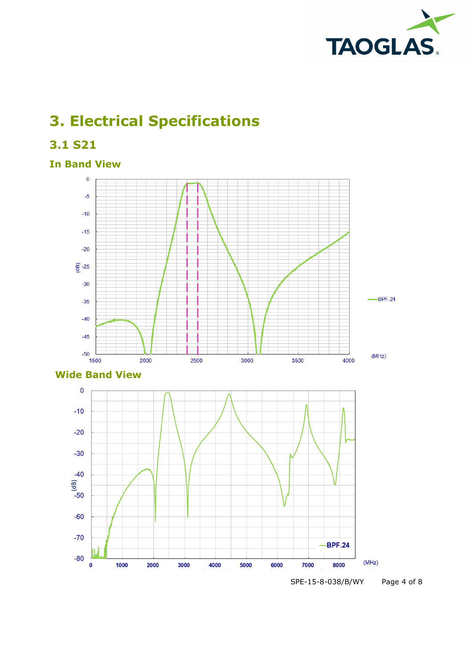

# **3. Electrical Specifications**

**3.1 S21**

### **In Band View**





SPE-15-8-038/B/WY Page 4 of 8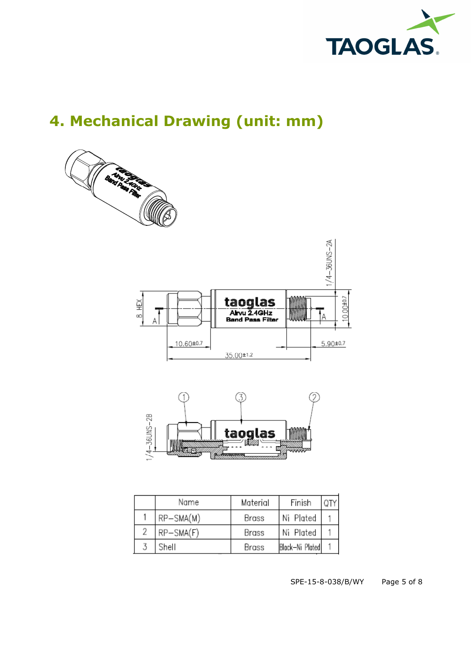

# **4. Mechanical Drawing (unit: mm)**



|                | Name        | Material | Finish          |  |
|----------------|-------------|----------|-----------------|--|
|                | $RP-SMA(M)$ | Brass    | Ni Plated       |  |
| $\overline{2}$ | RP-SMA(F)   | Brass    | Ni Plated       |  |
|                | Shell       | Brass    | Block-Ni Plated |  |

SPE-15-8-038/B/WY Page 5 of 8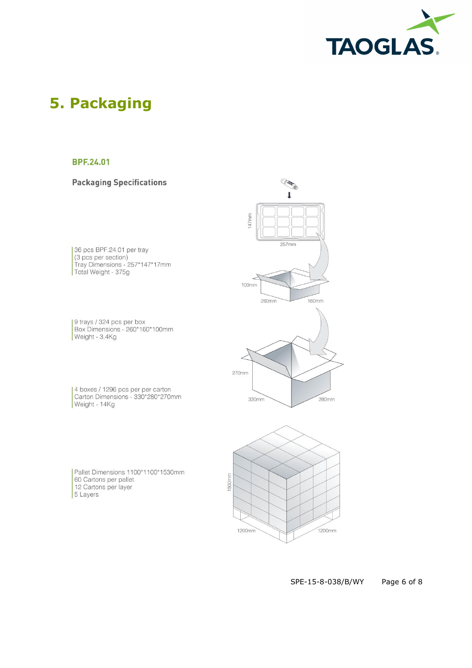

### **5. Packaging**

#### **BPF.24.01**

#### **Packaging Specifications**

36 pcs BPF.24.01 per tray (3 pcs Br + 24.0 Fee hay<br>
(3 pcs per section)<br>
Tray Dimensions - 257\*147\*17mm Total Weight - 375g

9 trays / 324 pcs per box<br>Box Dimensions - 260\*160\*100mm Weight - 3.4Kg

4 boxes / 1296 pcs per per carton<br>Carton Dimensions - 330\*280\*270mm Weight - 14Kg

Pallet Dimensions 1100\*1100\*1530mm 60 Cartons per pallet 12 Cartons per layer 5 Layers





#### SPE-15-8-038/B/WY Page 6 of 8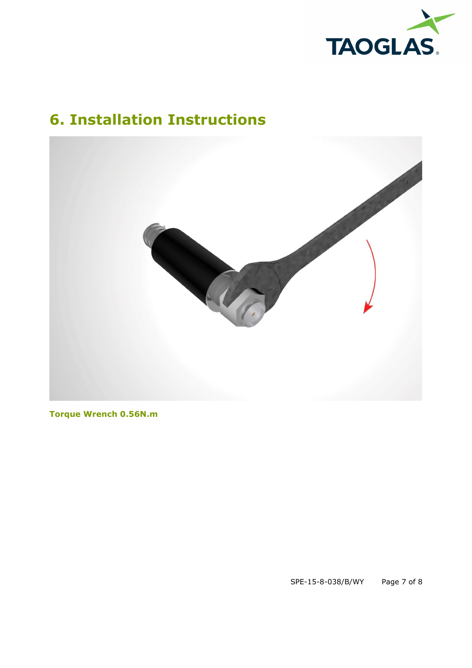

## **6. Installation Instructions**



**Torque Wrench 0.56N.m**

SPE-15-8-038/B/WY Page 7 of 8